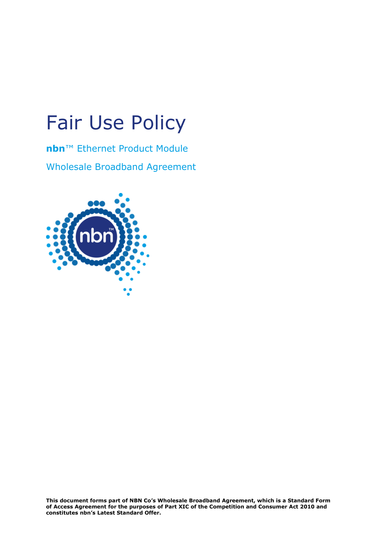# Fair Use Policy

**nbn**™ Ethernet Product Module Wholesale Broadband Agreement

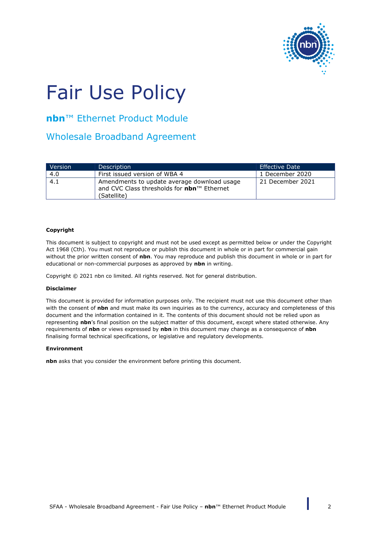

# Fair Use Policy

**nbn**™ Ethernet Product Module

Wholesale Broadband Agreement

| <b>Version</b> | <b>Description</b>                                                                        | Effective Date   |
|----------------|-------------------------------------------------------------------------------------------|------------------|
| 4.0            | First issued version of WBA 4                                                             | 1 December 2020  |
| 4.1            | Amendments to update average download usage<br>and CVC Class thresholds for nbn™ Ethernet | 21 December 2021 |
|                | (Satellite)                                                                               |                  |

#### **Copyright**

This document is subject to copyright and must not be used except as permitted below or under the Copyright Act 1968 (Cth). You must not reproduce or publish this document in whole or in part for commercial gain without the prior written consent of **nbn**. You may reproduce and publish this document in whole or in part for educational or non-commercial purposes as approved by **nbn** in writing.

Copyright © 2021 nbn co limited. All rights reserved. Not for general distribution.

#### **Disclaimer**

This document is provided for information purposes only. The recipient must not use this document other than with the consent of **nbn** and must make its own inquiries as to the currency, accuracy and completeness of this document and the information contained in it. The contents of this document should not be relied upon as representing **nbn**'s final position on the subject matter of this document, except where stated otherwise. Any requirements of **nbn** or views expressed by **nbn** in this document may change as a consequence of **nbn** finalising formal technical specifications, or legislative and regulatory developments.

#### **Environment**

**nbn** asks that you consider the environment before printing this document.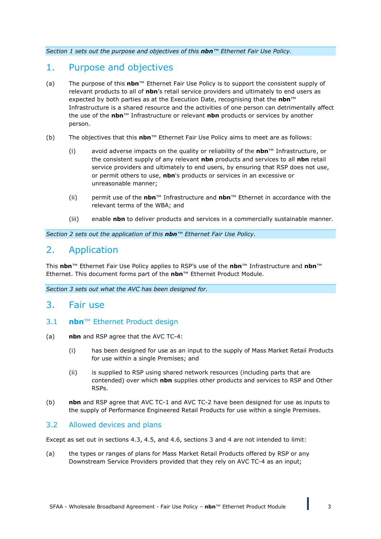*Section [1](#page-2-0) sets out the purpose and objectives of this nbn™ Ethernet Fair Use Policy.*

## <span id="page-2-0"></span>1. Purpose and objectives

- (a) The purpose of this **nbn**™ Ethernet Fair Use Policy is to support the consistent supply of relevant products to all of **nbn**'s retail service providers and ultimately to end users as expected by both parties as at the Execution Date, recognising that the **nbn**™ Infrastructure is a shared resource and the activities of one person can detrimentally affect the use of the **nbn**™ Infrastructure or relevant **nbn** products or services by another person.
- (b) The objectives that this **nbn**™ Ethernet Fair Use Policy aims to meet are as follows:
	- (i) avoid adverse impacts on the quality or reliability of the **nbn**™ Infrastructure, or the consistent supply of any relevant **nbn** products and services to all **nbn** retail service providers and ultimately to end users, by ensuring that RSP does not use, or permit others to use, **nbn**'s products or services in an excessive or unreasonable manner;
	- (ii) permit use of the **nbn**™ Infrastructure and **nbn**™ Ethernet in accordance with the relevant terms of the WBA; and
	- (iii) enable **nbn** to deliver products and services in a commercially sustainable manner.

*Section [2](#page-2-1) sets out the application of this nbn™ Ethernet Fair Use Policy.*

# <span id="page-2-1"></span>2. Application

This **nbn**™ Ethernet Fair Use Policy applies to RSP's use of the **nbn**™ Infrastructure and **nbn**™ Ethernet. This document forms part of the **nbn**™ Ethernet Product Module.

*Section [3](#page-2-2) sets out what the AVC has been designed for.*

## <span id="page-2-2"></span>3. Fair use

- 3.1 **nbn**™ Ethernet Product design
- (a) **nbn** and RSP agree that the AVC TC-4:
	- (i) has been designed for use as an input to the supply of Mass Market Retail Products for use within a single Premises; and
	- (ii) is supplied to RSP using shared network resources (including parts that are contended) over which **nbn** supplies other products and services to RSP and Other RSPs.
- (b) **nbn** and RSP agree that AVC TC-1 and AVC TC-2 have been designed for use as inputs to the supply of Performance Engineered Retail Products for use within a single Premises.

### 3.2 Allowed devices and plans

Except as set out in sections [4.3,](#page-4-0) [4.5,](#page-5-0) and [4.6,](#page-6-0) sections [3](#page-2-2) and [4](#page-3-0) are not intended to limit:

(a) the types or ranges of plans for Mass Market Retail Products offered by RSP or any Downstream Service Providers provided that they rely on AVC TC-4 as an input;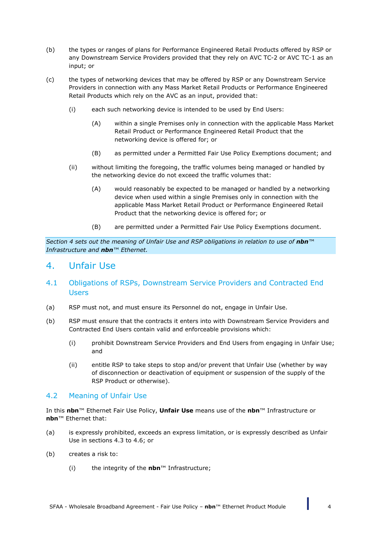- (b) the types or ranges of plans for Performance Engineered Retail Products offered by RSP or any Downstream Service Providers provided that they rely on AVC TC-2 or AVC TC-1 as an input; or
- (c) the types of networking devices that may be offered by RSP or any Downstream Service Providers in connection with any Mass Market Retail Products or Performance Engineered Retail Products which rely on the AVC as an input, provided that:
	- (i) each such networking device is intended to be used by End Users:
		- (A) within a single Premises only in connection with the applicable Mass Market Retail Product or Performance Engineered Retail Product that the networking device is offered for; or
		- (B) as permitted under a Permitted Fair Use Policy Exemptions document; and
	- (ii) without limiting the foregoing, the traffic volumes being managed or handled by the networking device do not exceed the traffic volumes that:
		- (A) would reasonably be expected to be managed or handled by a networking device when used within a single Premises only in connection with the applicable Mass Market Retail Product or Performance Engineered Retail Product that the networking device is offered for; or
		- (B) are permitted under a Permitted Fair Use Policy Exemptions document.

*Section [4](#page-3-0) sets out the meaning of Unfair Use and RSP obligations in relation to use of nbn™ Infrastructure and nbn™ Ethernet.*

## <span id="page-3-0"></span>4. Unfair Use

### 4.1 Obligations of RSPs, Downstream Service Providers and Contracted End Users

- (a) RSP must not, and must ensure its Personnel do not, engage in Unfair Use.
- (b) RSP must ensure that the contracts it enters into with Downstream Service Providers and Contracted End Users contain valid and enforceable provisions which:
	- (i) prohibit Downstream Service Providers and End Users from engaging in Unfair Use; and
	- (ii) entitle RSP to take steps to stop and/or prevent that Unfair Use (whether by way of disconnection or deactivation of equipment or suspension of the supply of the RSP Product or otherwise).

#### <span id="page-3-1"></span>4.2 Meaning of Unfair Use

In this **nbn**™ Ethernet Fair Use Policy, **Unfair Use** means use of the **nbn**™ Infrastructure or **nbn**™ Ethernet that:

- (a) is expressly prohibited, exceeds an express limitation, or is expressly described as Unfair Use in sections [4.3](#page-4-0) to [4.6;](#page-6-0) or
- (b) creates a risk to:
	- (i) the integrity of the **nbn**™ Infrastructure;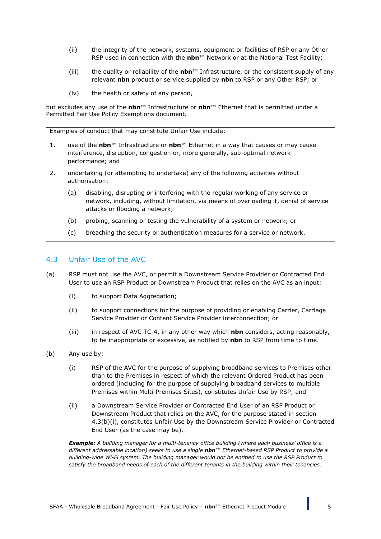- (ii) the integrity of the network, systems, equipment or facilities of RSP or any Other RSP used in connection with the **nbn**™ Network or at the National Test Facility;
- (iii) the quality or reliability of the **nbn**™ Infrastructure, or the consistent supply of any relevant **nbn** product or service supplied by **nbn** to RSP or any Other RSP; or
- (iv) the health or safety of any person,

but excludes any use of the **nbn**™ Infrastructure or **nbn**™ Ethernet that is permitted under a Permitted Fair Use Policy Exemptions document.

Examples of conduct that may constitute Unfair Use include:

- 1. use of the **nbn**™ Infrastructure or **nbn**™ Ethernet in a way that causes or may cause interference, disruption, congestion or, more generally, sub-optimal network performance; and
- 2. undertaking (or attempting to undertake) any of the following activities without authorisation:
	- (a) disabling, disrupting or interfering with the regular working of any service or network, including, without limitation, via means of overloading it, denial of service attacks or flooding a network;
	- (b) probing, scanning or testing the vulnerability of a system or network; or
	- (c) breaching the security or authentication measures for a service or network.

#### <span id="page-4-0"></span>4.3 Unfair Use of the AVC

- (a) RSP must not use the AVC, or permit a Downstream Service Provider or Contracted End User to use an RSP Product or Downstream Product that relies on the AVC as an input:
	- (i) to support Data Aggregation;
	- (ii) to support connections for the purpose of providing or enabling Carrier, Carriage Service Provider or Content Service Provider interconnection; or
	- (iii) in respect of AVC TC-4, in any other way which **nbn** considers, acting reasonably, to be inappropriate or excessive, as notified by **nbn** to RSP from time to time.
- <span id="page-4-2"></span><span id="page-4-1"></span>(b) Any use by:
	- (i) RSP of the AVC for the purpose of supplying broadband services to Premises other than to the Premises in respect of which the relevant Ordered Product has been ordered (including for the purpose of supplying broadband services to multiple Premises within Multi-Premises Sites), constitutes Unfair Use by RSP; and
	- (ii) a Downstream Service Provider or Contracted End User of an RSP Product or Downstream Product that relies on the AVC, for the purpose stated in section [4.3\(b\)\(i\),](#page-4-1) constitutes Unfair Use by the Downstream Service Provider or Contracted End User (as the case may be).

*Example: A building manager for a multi-tenancy office building (where each business' office is a different addressable location) seeks to use a single nbn™ Ethernet-based RSP Product to provide a building-wide Wi-Fi system. The building manager would not be entitled to use the RSP Product to satisfy the broadband needs of each of the different tenants in the building within their tenancies.*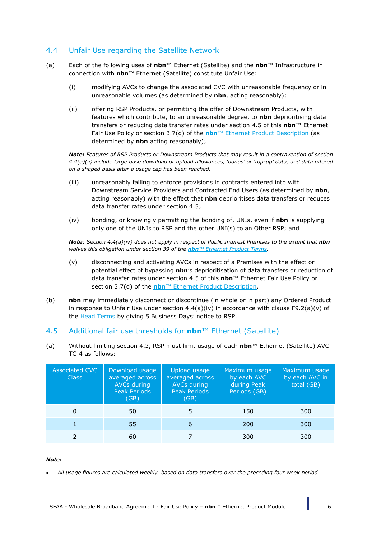### <span id="page-5-4"></span>4.4 Unfair Use regarding the Satellite Network

- <span id="page-5-1"></span>(a) Each of the following uses of **nbn**™ Ethernet (Satellite) and the **nbn**™ Infrastructure in connection with **nbn**™ Ethernet (Satellite) constitute Unfair Use:
	- (i) modifying AVCs to change the associated CVC with unreasonable frequency or in unreasonable volumes (as determined by **nbn**, acting reasonably);
	- (ii) offering RSP Products, or permitting the offer of Downstream Products, with features which contribute, to an unreasonable degree, to **nbn** deprioritising data transfers or reducing data transfer rates under section [4.5](#page-5-0) of this **nbn**™ Ethernet Fair Use Policy or section 3.7(d) of the **nbn**™ Ethernet Product Description (as determined by **nbn** acting reasonably);

*Note: Features of RSP Products or Downstream Products that may result in a contravention of section [4.4\(a\)\(ii\)](#page-5-1) include large base download or upload allowances, 'bonus' or 'top-up' data, and data offered on a shaped basis after a usage cap has been reached.*

- (iii) unreasonably failing to enforce provisions in contracts entered into with Downstream Service Providers and Contracted End Users (as determined by **nbn**, acting reasonably) with the effect that **nbn** deprioritises data transfers or reduces data transfer rates under section [4.5;](#page-5-0)
- <span id="page-5-2"></span>(iv) bonding, or knowingly permitting the bonding of, UNIs, even if **nbn** is supplying only one of the UNIs to RSP and the other UNI(s) to an Other RSP; and

*Note: Section [4.4\(a\)\(iv\)](#page-5-2) does not apply in respect of Public Interest Premises to the extent that nbn waives this obligation under section 39 of the nbn™ Ethernet Product Terms.*

- (v) disconnecting and activating AVCs in respect of a Premises with the effect or potential effect of bypassing **nbn**'s deprioritisation of data transfers or reduction of data transfer rates under section [4.5](#page-5-0) of this **nbn**™ Ethernet Fair Use Policy or section 3.7(d) of the **nbn**™ Ethernet Product Description.
- (b) **nbn** may immediately disconnect or discontinue (in whole or in part) any Ordered Product in response to Unfair Use under section  $4.4(a)(iv)$  in accordance with clause F9.2(a)(v) of the Head Terms by giving 5 Business Days' notice to RSP.

### <span id="page-5-0"></span>4.5 Additional fair use thresholds for **nbn**™ Ethernet (Satellite)

<span id="page-5-3"></span>(a) Without limiting section [4.3,](#page-4-0) RSP must limit usage of each **nbn**™ Ethernet (Satellite) AVC TC-4 as follows:

| <b>Associated CVC</b><br><b>Class</b> | Download usage<br>averaged across<br>AVCs during<br><b>Peak Periods</b><br>(GB) | Upload usage<br>averaged across<br>AVCs during<br><b>Peak Periods</b><br>(GB) | Maximum usage<br>by each AVC<br>during Peak<br>Periods (GB) | Maximum usage<br>by each AVC in<br>total (GB) |
|---------------------------------------|---------------------------------------------------------------------------------|-------------------------------------------------------------------------------|-------------------------------------------------------------|-----------------------------------------------|
| 0                                     | 50                                                                              |                                                                               | 150                                                         | 300                                           |
|                                       | 55                                                                              | 6                                                                             | 200                                                         | 300                                           |
|                                       | 60                                                                              |                                                                               | 300                                                         | 300                                           |

#### *Note:*

• *All usage figures are calculated weekly, based on data transfers over the preceding four week period.*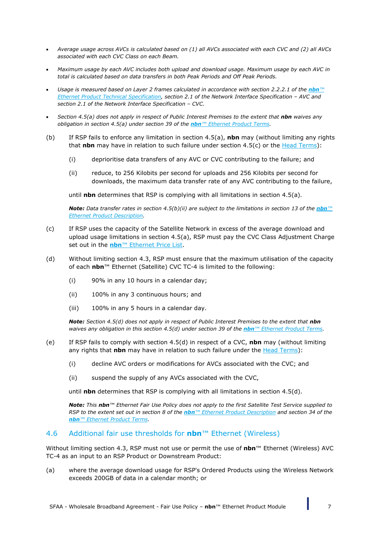- *Average usage across AVCs is calculated based on (1) all AVCs associated with each CVC and (2) all AVCs associated with each CVC Class on each Beam.*
- *Maximum usage by each AVC includes both upload and download usage. Maximum usage by each AVC in total is calculated based on data transfers in both Peak Periods and Off Peak Periods.*
- *Usage is measured based on Layer 2 frames calculated in accordance with section 2.2.2.1 of the <i>nbn*™ *Ethernet Product Technical Specification, section 2.1 of the Network Interface Specification – AVC and section 2.1 of the Network Interface Specification – CVC.*
- *Section [4.5\(a\)](#page-5-3) does not apply in respect of Public Interest Premises to the extent that nbn waives any obligation in section [4.5\(a\)](#page-5-3) under section 39 of the nbn™ Ethernet Product Terms.*
- (b) If RSP fails to enforce any limitation in section [4.5\(a\),](#page-5-3) **nbn** may (without limiting any rights that **nbn** may have in relation to such failure under section [4.5\(c\)](#page-6-1) or the Head Terms):
	- (i) deprioritise data transfers of any AVC or CVC contributing to the failure; and
	- (ii) reduce, to 256 Kilobits per second for uploads and 256 Kilobits per second for downloads, the maximum data transfer rate of any AVC contributing to the failure,

<span id="page-6-2"></span>until **nbn** determines that RSP is complying with all limitations in section [4.5\(a\).](#page-5-3)

*Note: Data transfer rates in section [4.5\(b\)\(ii\)](#page-6-2) are subject to the limitations in section 13 of the nbn™ Ethernet Product Description.*

- <span id="page-6-1"></span>(c) If RSP uses the capacity of the Satellite Network in excess of the average download and upload usage limitations in section [4.5\(a\),](#page-5-3) RSP must pay the CVC Class Adjustment Charge set out in the **nbn™** Ethernet Price List.
- <span id="page-6-3"></span>(d) Without limiting section [4.3,](#page-4-0) RSP must ensure that the maximum utilisation of the capacity of each **nbn**™ Ethernet (Satellite) CVC TC-4 is limited to the following:
	- (i) 90% in any 10 hours in a calendar day;
	- (ii) 100% in any 3 continuous hours; and
	- (iii) 100% in any 5 hours in a calendar day.

*Note: Section [4.5\(d\)](#page-6-3) does not apply in respect of Public Interest Premises to the extent that nbn waives any obligation in this section [4.5\(d\)](#page-6-3) under section 39 of the nbn™ Ethernet Product Terms.*

- (e) If RSP fails to comply with section [4.5\(d\)](#page-6-3) in respect of a CVC, **nbn** may (without limiting any rights that **nbn** may have in relation to such failure under the Head Terms):
	- (i) decline AVC orders or modifications for AVCs associated with the CVC; and
	- (ii) suspend the supply of any AVCs associated with the CVC,

until **nbn** determines that RSP is complying with all limitations in section [4.5\(d\).](#page-6-3)

*Note: This nbn™ Ethernet Fair Use Policy does not apply to the first Satellite Test Service supplied to RSP* to the extent set out in section 8 of the *nbn*™ Ethernet Product Description and section 34 of the *nbn™ Ethernet Product Terms.*

#### <span id="page-6-0"></span>4.6 Additional fair use thresholds for **nbn**™ Ethernet (Wireless)

Without limiting section [4.3,](#page-4-0) RSP must not use or permit the use of **nbn**™ Ethernet (Wireless) AVC TC-4 as an input to an RSP Product or Downstream Product:

(a) where the average download usage for RSP's Ordered Products using the Wireless Network exceeds 200GB of data in a calendar month; or